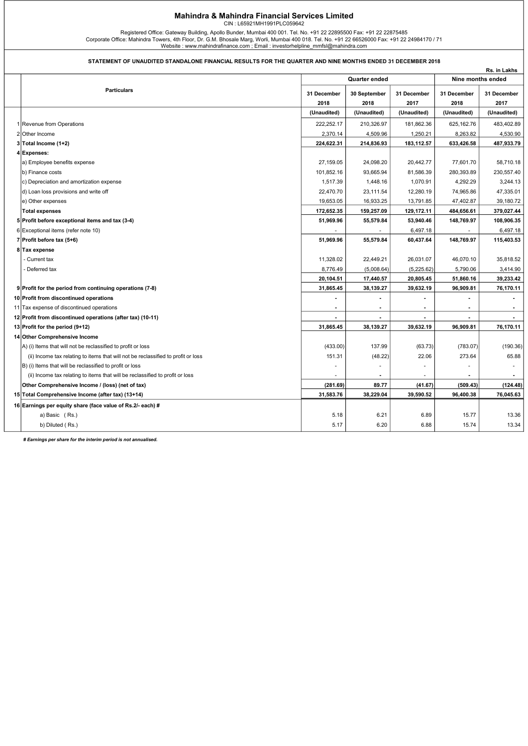## Mahindra & Mahindra Financial Services Limited

CIN : L65921MH1991PLC059642

Registered Office: Gateway Building, Apollo Bunder, Mumbai 400 001. Tel. No. +91 22 22895500 Fax: +91 22 22875485<br>Corporate Office: Mahindra Towers, 4th Floor, Dr. G.M. Bhosale Marg, Worli, Mumbai 400 018. Tel. No. +91 22

## STATEMENT OF UNAUDITED STANDALONE FINANCIAL RESULTS FOR THE QUARTER AND NINE MONTHS ENDED 31 DECEMBER 2018

| Nine months ended<br>Quarter ended<br><b>Particulars</b><br>31 December<br>31 December<br>31 December<br>30 September<br>2017<br>2018<br>2018<br>2017<br>2018<br>(Unaudited)<br>(Unaudited)<br>(Unaudited)<br>(Unaudited)<br>1 Revenue from Operations<br>222,252.17<br>210,326.97<br>181,862.36<br>625,162.76<br>2,370.14<br>8,263.82<br>2 Other Income<br>4,509.96<br>1,250.21<br>224,622.31<br>214,836.93<br>633,426.58<br>3 Total Income (1+2)<br>183,112.57<br>4 Expenses:<br>a) Employee benefits expense<br>27,159.05<br>24,098.20<br>20,442.77<br>77,601.70<br>93,665.94<br>b) Finance costs<br>101,852.16<br>81,586.39<br>280,393.89<br>1,517.39<br>1,448.16<br>1,070.91<br>4,292.29<br>c) Depreciation and amortization expense<br>d) Loan loss provisions and write off<br>22,470.70<br>23,111.54<br>12,280.19<br>74,965.86<br>19,653.05<br>16,933.25<br>13,791.85<br>47,402.87<br>e) Other expenses<br>172,652.35<br>159,257.09<br>129,172.11<br>484,656.61<br><b>Total expenses</b><br>5 Profit before exceptional items and tax (3-4)<br>51,969.96<br>55,579.84<br>53,940.46<br>148,769.97<br>6,497.18<br>6 Exceptional items (refer note 10)<br>51,969.96<br>55,579.84<br>60,437.64<br>148,769.97<br>7 Profit before tax $(5+6)$<br>8 Tax expense<br>- Current tax<br>11,328.02<br>22,449.21<br>26,031.07<br>46,070.10<br>8,776.49<br>(5,008.64)<br>(5,225.62)<br>5,790.06<br>- Deferred tax<br>20,805.45<br>20,104.51<br>17,440.57<br>51,860.16<br>39,632.19<br>9 Profit for the period from continuing operations (7-8)<br>31,865.45<br>38,139.27<br>96,909.81<br>10 Profit from discontinued operations<br>11 Tax expense of discontinued operations<br>$\overline{\phantom{a}}$<br>$\overline{a}$<br>12 Profit from discontinued operations (after tax) (10-11)<br>$\blacksquare$<br>$\blacksquare$<br>31,865.45<br>38,139.27<br>39,632.19<br>96,909.81<br>13 Profit for the period (9+12)<br>14 Other Comprehensive Income<br>A) (i) Items that will not be reclassified to profit or loss<br>(433.00)<br>137.99<br>(63.73)<br>(783.07)<br>(ii) Income tax relating to items that will not be reclassified to profit or loss<br>151.31<br>(48.22)<br>22.06<br>273.64<br>B) (i) Items that will be reclassified to profit or loss<br>(ii) Income tax relating to items that will be reclassified to profit or loss<br>Other Comprehensive Income / (loss) (net of tax)<br>(281.69)<br>89.77<br>(41.67)<br>(509.43)<br>31,583.76<br>38,229.04<br>39,590.52<br>96,400.38<br>15 Total Comprehensive Income (after tax) (13+14) |                                                            |  |  |  |  | Rs. in Lakhs   |  |
|------------------------------------------------------------------------------------------------------------------------------------------------------------------------------------------------------------------------------------------------------------------------------------------------------------------------------------------------------------------------------------------------------------------------------------------------------------------------------------------------------------------------------------------------------------------------------------------------------------------------------------------------------------------------------------------------------------------------------------------------------------------------------------------------------------------------------------------------------------------------------------------------------------------------------------------------------------------------------------------------------------------------------------------------------------------------------------------------------------------------------------------------------------------------------------------------------------------------------------------------------------------------------------------------------------------------------------------------------------------------------------------------------------------------------------------------------------------------------------------------------------------------------------------------------------------------------------------------------------------------------------------------------------------------------------------------------------------------------------------------------------------------------------------------------------------------------------------------------------------------------------------------------------------------------------------------------------------------------------------------------------------------------------------------------------------------------------------------------------------------------------------------------------------------------------------------------------------------------------------------------------------------------------------------------------------------------------------------------------------------------------------------------------------------------------------------------------------------------------------------------------------------------------------------|------------------------------------------------------------|--|--|--|--|----------------|--|
|                                                                                                                                                                                                                                                                                                                                                                                                                                                                                                                                                                                                                                                                                                                                                                                                                                                                                                                                                                                                                                                                                                                                                                                                                                                                                                                                                                                                                                                                                                                                                                                                                                                                                                                                                                                                                                                                                                                                                                                                                                                                                                                                                                                                                                                                                                                                                                                                                                                                                                                                                |                                                            |  |  |  |  |                |  |
|                                                                                                                                                                                                                                                                                                                                                                                                                                                                                                                                                                                                                                                                                                                                                                                                                                                                                                                                                                                                                                                                                                                                                                                                                                                                                                                                                                                                                                                                                                                                                                                                                                                                                                                                                                                                                                                                                                                                                                                                                                                                                                                                                                                                                                                                                                                                                                                                                                                                                                                                                |                                                            |  |  |  |  | 31 December    |  |
|                                                                                                                                                                                                                                                                                                                                                                                                                                                                                                                                                                                                                                                                                                                                                                                                                                                                                                                                                                                                                                                                                                                                                                                                                                                                                                                                                                                                                                                                                                                                                                                                                                                                                                                                                                                                                                                                                                                                                                                                                                                                                                                                                                                                                                                                                                                                                                                                                                                                                                                                                |                                                            |  |  |  |  |                |  |
|                                                                                                                                                                                                                                                                                                                                                                                                                                                                                                                                                                                                                                                                                                                                                                                                                                                                                                                                                                                                                                                                                                                                                                                                                                                                                                                                                                                                                                                                                                                                                                                                                                                                                                                                                                                                                                                                                                                                                                                                                                                                                                                                                                                                                                                                                                                                                                                                                                                                                                                                                |                                                            |  |  |  |  | (Unaudited)    |  |
|                                                                                                                                                                                                                                                                                                                                                                                                                                                                                                                                                                                                                                                                                                                                                                                                                                                                                                                                                                                                                                                                                                                                                                                                                                                                                                                                                                                                                                                                                                                                                                                                                                                                                                                                                                                                                                                                                                                                                                                                                                                                                                                                                                                                                                                                                                                                                                                                                                                                                                                                                |                                                            |  |  |  |  | 483,402.89     |  |
|                                                                                                                                                                                                                                                                                                                                                                                                                                                                                                                                                                                                                                                                                                                                                                                                                                                                                                                                                                                                                                                                                                                                                                                                                                                                                                                                                                                                                                                                                                                                                                                                                                                                                                                                                                                                                                                                                                                                                                                                                                                                                                                                                                                                                                                                                                                                                                                                                                                                                                                                                |                                                            |  |  |  |  | 4,530.90       |  |
|                                                                                                                                                                                                                                                                                                                                                                                                                                                                                                                                                                                                                                                                                                                                                                                                                                                                                                                                                                                                                                                                                                                                                                                                                                                                                                                                                                                                                                                                                                                                                                                                                                                                                                                                                                                                                                                                                                                                                                                                                                                                                                                                                                                                                                                                                                                                                                                                                                                                                                                                                |                                                            |  |  |  |  | 487,933.79     |  |
|                                                                                                                                                                                                                                                                                                                                                                                                                                                                                                                                                                                                                                                                                                                                                                                                                                                                                                                                                                                                                                                                                                                                                                                                                                                                                                                                                                                                                                                                                                                                                                                                                                                                                                                                                                                                                                                                                                                                                                                                                                                                                                                                                                                                                                                                                                                                                                                                                                                                                                                                                |                                                            |  |  |  |  |                |  |
|                                                                                                                                                                                                                                                                                                                                                                                                                                                                                                                                                                                                                                                                                                                                                                                                                                                                                                                                                                                                                                                                                                                                                                                                                                                                                                                                                                                                                                                                                                                                                                                                                                                                                                                                                                                                                                                                                                                                                                                                                                                                                                                                                                                                                                                                                                                                                                                                                                                                                                                                                |                                                            |  |  |  |  | 58,710.18      |  |
|                                                                                                                                                                                                                                                                                                                                                                                                                                                                                                                                                                                                                                                                                                                                                                                                                                                                                                                                                                                                                                                                                                                                                                                                                                                                                                                                                                                                                                                                                                                                                                                                                                                                                                                                                                                                                                                                                                                                                                                                                                                                                                                                                                                                                                                                                                                                                                                                                                                                                                                                                |                                                            |  |  |  |  | 230,557.40     |  |
|                                                                                                                                                                                                                                                                                                                                                                                                                                                                                                                                                                                                                                                                                                                                                                                                                                                                                                                                                                                                                                                                                                                                                                                                                                                                                                                                                                                                                                                                                                                                                                                                                                                                                                                                                                                                                                                                                                                                                                                                                                                                                                                                                                                                                                                                                                                                                                                                                                                                                                                                                |                                                            |  |  |  |  | 3,244.13       |  |
|                                                                                                                                                                                                                                                                                                                                                                                                                                                                                                                                                                                                                                                                                                                                                                                                                                                                                                                                                                                                                                                                                                                                                                                                                                                                                                                                                                                                                                                                                                                                                                                                                                                                                                                                                                                                                                                                                                                                                                                                                                                                                                                                                                                                                                                                                                                                                                                                                                                                                                                                                |                                                            |  |  |  |  | 47,335.01      |  |
|                                                                                                                                                                                                                                                                                                                                                                                                                                                                                                                                                                                                                                                                                                                                                                                                                                                                                                                                                                                                                                                                                                                                                                                                                                                                                                                                                                                                                                                                                                                                                                                                                                                                                                                                                                                                                                                                                                                                                                                                                                                                                                                                                                                                                                                                                                                                                                                                                                                                                                                                                |                                                            |  |  |  |  | 39,180.72      |  |
|                                                                                                                                                                                                                                                                                                                                                                                                                                                                                                                                                                                                                                                                                                                                                                                                                                                                                                                                                                                                                                                                                                                                                                                                                                                                                                                                                                                                                                                                                                                                                                                                                                                                                                                                                                                                                                                                                                                                                                                                                                                                                                                                                                                                                                                                                                                                                                                                                                                                                                                                                |                                                            |  |  |  |  | 379,027.44     |  |
|                                                                                                                                                                                                                                                                                                                                                                                                                                                                                                                                                                                                                                                                                                                                                                                                                                                                                                                                                                                                                                                                                                                                                                                                                                                                                                                                                                                                                                                                                                                                                                                                                                                                                                                                                                                                                                                                                                                                                                                                                                                                                                                                                                                                                                                                                                                                                                                                                                                                                                                                                |                                                            |  |  |  |  | 108,906.35     |  |
|                                                                                                                                                                                                                                                                                                                                                                                                                                                                                                                                                                                                                                                                                                                                                                                                                                                                                                                                                                                                                                                                                                                                                                                                                                                                                                                                                                                                                                                                                                                                                                                                                                                                                                                                                                                                                                                                                                                                                                                                                                                                                                                                                                                                                                                                                                                                                                                                                                                                                                                                                |                                                            |  |  |  |  | 6,497.18       |  |
|                                                                                                                                                                                                                                                                                                                                                                                                                                                                                                                                                                                                                                                                                                                                                                                                                                                                                                                                                                                                                                                                                                                                                                                                                                                                                                                                                                                                                                                                                                                                                                                                                                                                                                                                                                                                                                                                                                                                                                                                                                                                                                                                                                                                                                                                                                                                                                                                                                                                                                                                                |                                                            |  |  |  |  | 115,403.53     |  |
|                                                                                                                                                                                                                                                                                                                                                                                                                                                                                                                                                                                                                                                                                                                                                                                                                                                                                                                                                                                                                                                                                                                                                                                                                                                                                                                                                                                                                                                                                                                                                                                                                                                                                                                                                                                                                                                                                                                                                                                                                                                                                                                                                                                                                                                                                                                                                                                                                                                                                                                                                |                                                            |  |  |  |  |                |  |
|                                                                                                                                                                                                                                                                                                                                                                                                                                                                                                                                                                                                                                                                                                                                                                                                                                                                                                                                                                                                                                                                                                                                                                                                                                                                                                                                                                                                                                                                                                                                                                                                                                                                                                                                                                                                                                                                                                                                                                                                                                                                                                                                                                                                                                                                                                                                                                                                                                                                                                                                                |                                                            |  |  |  |  | 35,818.52      |  |
|                                                                                                                                                                                                                                                                                                                                                                                                                                                                                                                                                                                                                                                                                                                                                                                                                                                                                                                                                                                                                                                                                                                                                                                                                                                                                                                                                                                                                                                                                                                                                                                                                                                                                                                                                                                                                                                                                                                                                                                                                                                                                                                                                                                                                                                                                                                                                                                                                                                                                                                                                |                                                            |  |  |  |  | 3,414.90       |  |
|                                                                                                                                                                                                                                                                                                                                                                                                                                                                                                                                                                                                                                                                                                                                                                                                                                                                                                                                                                                                                                                                                                                                                                                                                                                                                                                                                                                                                                                                                                                                                                                                                                                                                                                                                                                                                                                                                                                                                                                                                                                                                                                                                                                                                                                                                                                                                                                                                                                                                                                                                |                                                            |  |  |  |  | 39,233.42      |  |
|                                                                                                                                                                                                                                                                                                                                                                                                                                                                                                                                                                                                                                                                                                                                                                                                                                                                                                                                                                                                                                                                                                                                                                                                                                                                                                                                                                                                                                                                                                                                                                                                                                                                                                                                                                                                                                                                                                                                                                                                                                                                                                                                                                                                                                                                                                                                                                                                                                                                                                                                                |                                                            |  |  |  |  | 76,170.11      |  |
|                                                                                                                                                                                                                                                                                                                                                                                                                                                                                                                                                                                                                                                                                                                                                                                                                                                                                                                                                                                                                                                                                                                                                                                                                                                                                                                                                                                                                                                                                                                                                                                                                                                                                                                                                                                                                                                                                                                                                                                                                                                                                                                                                                                                                                                                                                                                                                                                                                                                                                                                                |                                                            |  |  |  |  |                |  |
|                                                                                                                                                                                                                                                                                                                                                                                                                                                                                                                                                                                                                                                                                                                                                                                                                                                                                                                                                                                                                                                                                                                                                                                                                                                                                                                                                                                                                                                                                                                                                                                                                                                                                                                                                                                                                                                                                                                                                                                                                                                                                                                                                                                                                                                                                                                                                                                                                                                                                                                                                |                                                            |  |  |  |  | $\blacksquare$ |  |
|                                                                                                                                                                                                                                                                                                                                                                                                                                                                                                                                                                                                                                                                                                                                                                                                                                                                                                                                                                                                                                                                                                                                                                                                                                                                                                                                                                                                                                                                                                                                                                                                                                                                                                                                                                                                                                                                                                                                                                                                                                                                                                                                                                                                                                                                                                                                                                                                                                                                                                                                                |                                                            |  |  |  |  | $\sim$         |  |
|                                                                                                                                                                                                                                                                                                                                                                                                                                                                                                                                                                                                                                                                                                                                                                                                                                                                                                                                                                                                                                                                                                                                                                                                                                                                                                                                                                                                                                                                                                                                                                                                                                                                                                                                                                                                                                                                                                                                                                                                                                                                                                                                                                                                                                                                                                                                                                                                                                                                                                                                                |                                                            |  |  |  |  | 76,170.11      |  |
|                                                                                                                                                                                                                                                                                                                                                                                                                                                                                                                                                                                                                                                                                                                                                                                                                                                                                                                                                                                                                                                                                                                                                                                                                                                                                                                                                                                                                                                                                                                                                                                                                                                                                                                                                                                                                                                                                                                                                                                                                                                                                                                                                                                                                                                                                                                                                                                                                                                                                                                                                |                                                            |  |  |  |  |                |  |
|                                                                                                                                                                                                                                                                                                                                                                                                                                                                                                                                                                                                                                                                                                                                                                                                                                                                                                                                                                                                                                                                                                                                                                                                                                                                                                                                                                                                                                                                                                                                                                                                                                                                                                                                                                                                                                                                                                                                                                                                                                                                                                                                                                                                                                                                                                                                                                                                                                                                                                                                                |                                                            |  |  |  |  | (190.36)       |  |
|                                                                                                                                                                                                                                                                                                                                                                                                                                                                                                                                                                                                                                                                                                                                                                                                                                                                                                                                                                                                                                                                                                                                                                                                                                                                                                                                                                                                                                                                                                                                                                                                                                                                                                                                                                                                                                                                                                                                                                                                                                                                                                                                                                                                                                                                                                                                                                                                                                                                                                                                                |                                                            |  |  |  |  | 65.88          |  |
|                                                                                                                                                                                                                                                                                                                                                                                                                                                                                                                                                                                                                                                                                                                                                                                                                                                                                                                                                                                                                                                                                                                                                                                                                                                                                                                                                                                                                                                                                                                                                                                                                                                                                                                                                                                                                                                                                                                                                                                                                                                                                                                                                                                                                                                                                                                                                                                                                                                                                                                                                |                                                            |  |  |  |  |                |  |
|                                                                                                                                                                                                                                                                                                                                                                                                                                                                                                                                                                                                                                                                                                                                                                                                                                                                                                                                                                                                                                                                                                                                                                                                                                                                                                                                                                                                                                                                                                                                                                                                                                                                                                                                                                                                                                                                                                                                                                                                                                                                                                                                                                                                                                                                                                                                                                                                                                                                                                                                                |                                                            |  |  |  |  |                |  |
|                                                                                                                                                                                                                                                                                                                                                                                                                                                                                                                                                                                                                                                                                                                                                                                                                                                                                                                                                                                                                                                                                                                                                                                                                                                                                                                                                                                                                                                                                                                                                                                                                                                                                                                                                                                                                                                                                                                                                                                                                                                                                                                                                                                                                                                                                                                                                                                                                                                                                                                                                |                                                            |  |  |  |  | (124.48)       |  |
|                                                                                                                                                                                                                                                                                                                                                                                                                                                                                                                                                                                                                                                                                                                                                                                                                                                                                                                                                                                                                                                                                                                                                                                                                                                                                                                                                                                                                                                                                                                                                                                                                                                                                                                                                                                                                                                                                                                                                                                                                                                                                                                                                                                                                                                                                                                                                                                                                                                                                                                                                |                                                            |  |  |  |  | 76,045.63      |  |
|                                                                                                                                                                                                                                                                                                                                                                                                                                                                                                                                                                                                                                                                                                                                                                                                                                                                                                                                                                                                                                                                                                                                                                                                                                                                                                                                                                                                                                                                                                                                                                                                                                                                                                                                                                                                                                                                                                                                                                                                                                                                                                                                                                                                                                                                                                                                                                                                                                                                                                                                                | 16 Earnings per equity share (face value of Rs.2/- each) # |  |  |  |  |                |  |
| a) Basic (Rs.)<br>5.18<br>6.21<br>6.89<br>15.77                                                                                                                                                                                                                                                                                                                                                                                                                                                                                                                                                                                                                                                                                                                                                                                                                                                                                                                                                                                                                                                                                                                                                                                                                                                                                                                                                                                                                                                                                                                                                                                                                                                                                                                                                                                                                                                                                                                                                                                                                                                                                                                                                                                                                                                                                                                                                                                                                                                                                                |                                                            |  |  |  |  | 13.36          |  |
| b) Diluted (Rs.)<br>5.17<br>6.20<br>6.88<br>15.74                                                                                                                                                                                                                                                                                                                                                                                                                                                                                                                                                                                                                                                                                                                                                                                                                                                                                                                                                                                                                                                                                                                                                                                                                                                                                                                                                                                                                                                                                                                                                                                                                                                                                                                                                                                                                                                                                                                                                                                                                                                                                                                                                                                                                                                                                                                                                                                                                                                                                              |                                                            |  |  |  |  | 13.34          |  |

# Earnings per share for the interim period is not annualised.